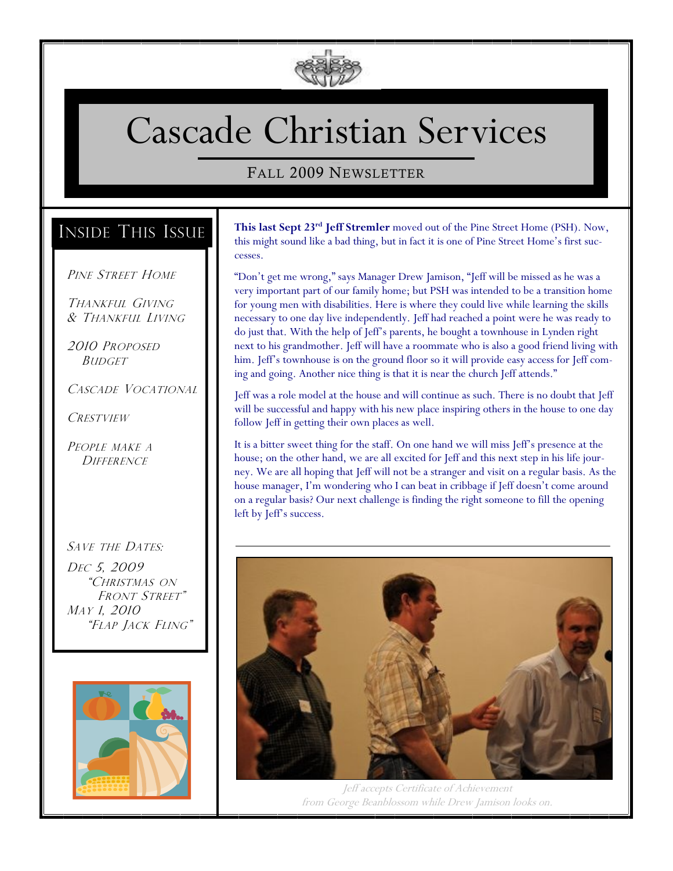

# Cascade Christian Services

#### FALL 2009 NEWSLETTER

## INSIDE THIS ISSUE

#### PINE STREET HOME

THANKFUL GIVING & THANKFUL LIVING

2010 PROPOSED **BUDGET** 

CASCADE VOCATIONAL

**CRESTVIEW** 

PEOPLE MAKE A **DIFFERENCE** 

#### SAVE THE DATES:

DEC 5, 2009 "CHRISTMAS ON FRONT STREET" MAY 1, 2010 "FLAP JACK FLING"



**This last Sept 23rd Jeff Stremler** moved out of the Pine Street Home (PSH). Now, this might sound like a bad thing, but in fact it is one of Pine Street Home's first successes.

"Don't get me wrong," says Manager Drew Jamison, "Jeff will be missed as he was a very important part of our family home; but PSH was intended to be a transition home for young men with disabilities. Here is where they could live while learning the skills necessary to one day live independently. Jeff had reached a point were he was ready to do just that. With the help of Jeff's parents, he bought a townhouse in Lynden right next to his grandmother. Jeff will have a roommate who is also a good friend living with him. Jeff's townhouse is on the ground floor so it will provide easy access for Jeff coming and going. Another nice thing is that it is near the church Jeff attends."

Jeff was a role model at the house and will continue as such. There is no doubt that Jeff will be successful and happy with his new place inspiring others in the house to one day follow Jeff in getting their own places as well.

It is a bitter sweet thing for the staff. On one hand we will miss Jeff's presence at the house; on the other hand, we are all excited for Jeff and this next step in his life journey. We are all hoping that Jeff will not be a stranger and visit on a regular basis. As the house manager, I'm wondering who I can beat in cribbage if Jeff doesn't come around on a regular basis? Our next challenge is finding the right someone to fill the opening left by Jeff's success.



Jeff accepts Certificate of Achievement from George Beanblossom while Drew Jamison looks on.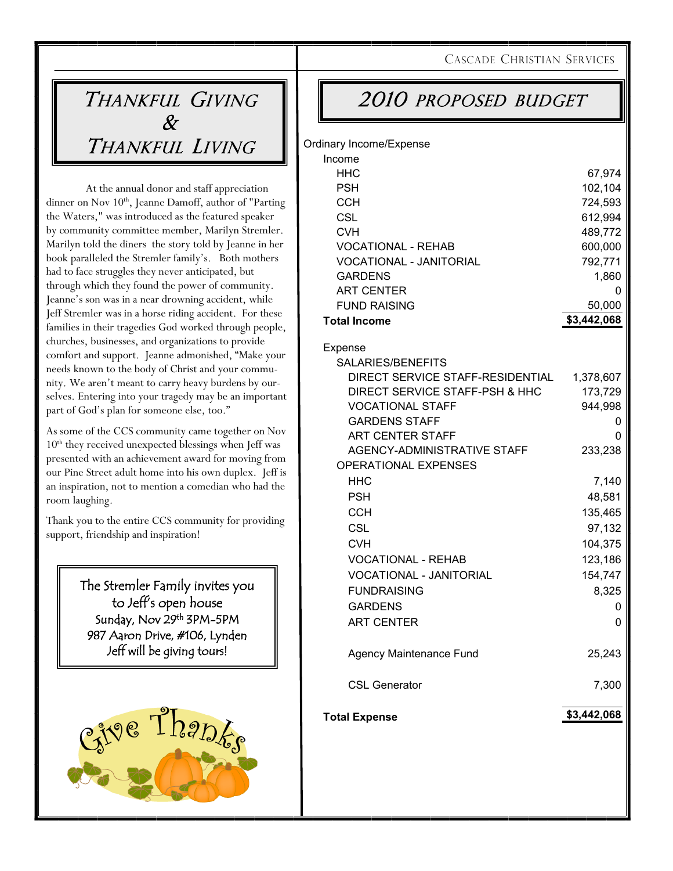CASCADE CHRISTIAN SERVICES

# THANKFUL GIVING  $\chi$ THANKFUL LIVING

Ord

At the annual donor and staff appreciation dinner on Nov 10<sup>th</sup>, Jeanne Damoff, author of "Parting the Waters," was introduced as the featured speaker by community committee member, Marilyn Stremler. Marilyn told the diners the story told by Jeanne in her book paralleled the Stremler family's. Both mothers had to face struggles they never anticipated, but through which they found the power of community. Jeanne's son was in a near drowning accident, while Jeff Stremler was in a horse riding accident. For these families in their tragedies God worked through people, churches, businesses, and organizations to provide comfort and support. Jeanne admonished, "Make your needs known to the body of Christ and your community. We aren't meant to carry heavy burdens by ourselves. Entering into your tragedy may be an important part of God's plan for someone else, too."

As some of the CCS community came together on Nov 10th they received unexpected blessings when Jeff was presented with an achievement award for moving from our Pine Street adult home into his own duplex. Jeff is an inspiration, not to mention a comedian who had the room laughing.

Thank you to the entire CCS community for providing support, friendship and inspiration!

> The Stremler Family invites you to Jeff's open house Sunday, Nov 29<sup>th</sup> 3PM-5PM 987 Aaron Drive, #106, Lynden Jeff will be giving tours!



# 2010 PROPOSED BUDGET

| inary Income/Expense<br>Income                             |             |
|------------------------------------------------------------|-------------|
| HHC                                                        | 67,974      |
| <b>PSH</b>                                                 | 102,104     |
| <b>CCH</b>                                                 | 724,593     |
| <b>CSL</b>                                                 | 612,994     |
| <b>CVH</b>                                                 | 489,772     |
| <b>VOCATIONAL - REHAB</b>                                  | 600,000     |
| <b>VOCATIONAL - JANITORIAL</b>                             | 792,771     |
| <b>GARDENS</b>                                             | 1,860       |
| <b>ART CENTER</b>                                          | 0           |
| <b>FUND RAISING</b>                                        | 50,000      |
| <b>Total Income</b>                                        | \$3,442,068 |
| Expense                                                    |             |
| SALARIES/BENEFITS                                          |             |
| DIRECT SERVICE STAFF-RESIDENTIAL                           | 1,378,607   |
| DIRECT SERVICE STAFF-PSH & HHC                             | 173,729     |
| <b>VOCATIONAL STAFF</b>                                    | 944,998     |
| <b>GARDENS STAFF</b>                                       | 0           |
| ART CENTER STAFF                                           | 0           |
| AGENCY-ADMINISTRATIVE STAFF<br><b>OPERATIONAL EXPENSES</b> | 233,238     |
| HHC                                                        | 7,140       |
| <b>PSH</b>                                                 | 48,581      |
| <b>CCH</b>                                                 | 135,465     |
| <b>CSL</b>                                                 | 97,132      |
| <b>CVH</b>                                                 | 104,375     |
| <b>VOCATIONAL - REHAB</b>                                  | 123,186     |
| <b>VOCATIONAL - JANITORIAL</b>                             | 154,747     |
| <b>FUNDRAISING</b>                                         | 8,325       |
| <b>GARDENS</b>                                             | 0           |
| <b>ART CENTER</b>                                          | 0           |
|                                                            |             |
| Agency Maintenance Fund                                    | 25,243      |
| <b>CSL Generator</b>                                       | 7,300       |
| <b>Total Expense</b>                                       | \$3,442,068 |
|                                                            |             |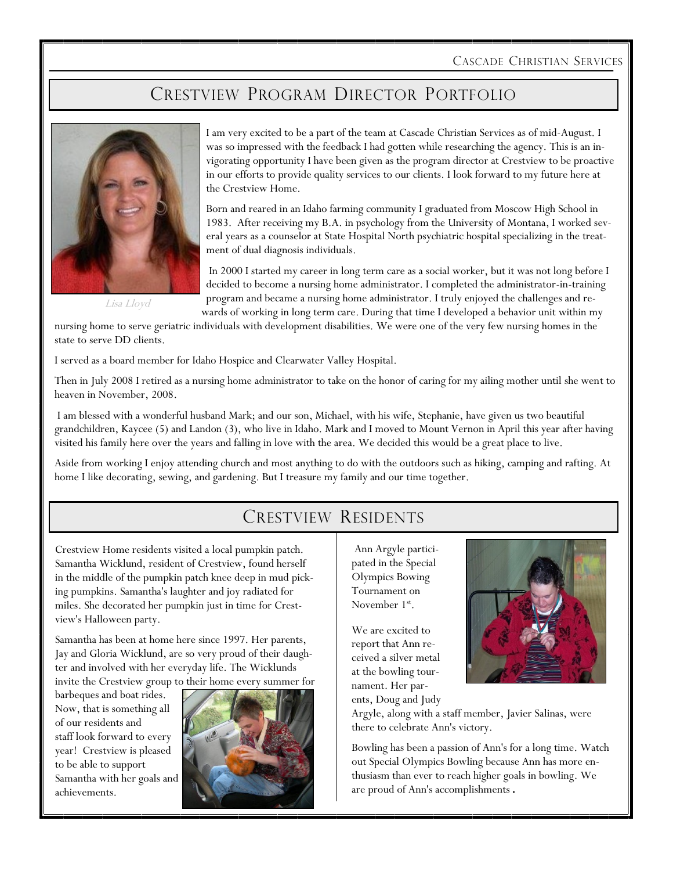CASCADE CHRISTIAN SERVICES

### CRESTVIEW PROGRAM DIRECTOR PORTFOLIO



Lisa Lloyd

I am very excited to be a part of the team at Cascade Christian Services as of mid-August. I was so impressed with the feedback I had gotten while researching the agency. This is an invigorating opportunity I have been given as the program director at Crestview to be proactive in our efforts to provide quality services to our clients. I look forward to my future here at the Crestview Home.

Born and reared in an Idaho farming community I graduated from Moscow High School in 1983. After receiving my B.A. in psychology from the University of Montana, I worked several years as a counselor at State Hospital North psychiatric hospital specializing in the treatment of dual diagnosis individuals.

In 2000 I started my career in long term care as a social worker, but it was not long before I decided to become a nursing home administrator. I completed the administrator-in-training program and became a nursing home administrator. I truly enjoyed the challenges and re-

wards of working in long term care. During that time I developed a behavior unit within my nursing home to serve geriatric individuals with development disabilities. We were one of the very few nursing homes in the state to serve DD clients.

I served as a board member for Idaho Hospice and Clearwater Valley Hospital.

Then in July 2008 I retired as a nursing home administrator to take on the honor of caring for my ailing mother until she went to heaven in November, 2008.

I am blessed with a wonderful husband Mark; and our son, Michael, with his wife, Stephanie, have given us two beautiful grandchildren, Kaycee (5) and Landon (3), who live in Idaho. Mark and I moved to Mount Vernon in April this year after having visited his family here over the years and falling in love with the area. We decided this would be a great place to live.

Aside from working I enjoy attending church and most anything to do with the outdoors such as hiking, camping and rafting. At home I like decorating, sewing, and gardening. But I treasure my family and our time together.

### CRESTVIEW RESIDENTS

Crestview Home residents visited a local pumpkin patch. Samantha Wicklund, resident of Crestview, found herself in the middle of the pumpkin patch knee deep in mud picking pumpkins. Samantha's laughter and joy radiated for miles. She decorated her pumpkin just in time for Crestview's Halloween party.

Samantha has been at home here since 1997. Her parents, Jay and Gloria Wicklund, are so very proud of their daughter and involved with her everyday life. The Wicklunds invite the Crestview group to their home every summer for

barbeques and boat rides. Now, that is something all of our residents and staff look forward to every year! Crestview is pleased to be able to support Samantha with her goals and achievements.



Ann Argyle participated in the Special Olympics Bowing Tournament on November 1<sup>st</sup>.

We are excited to report that Ann received a silver metal at the bowling tournament. Her parents, Doug and Judy



Argyle, along with a staff member, Javier Salinas, were there to celebrate Ann's victory.

Bowling has been a passion of Ann's for a long time. Watch out Special Olympics Bowling because Ann has more enthusiasm than ever to reach higher goals in bowling. We are proud of Ann's accomplishments.